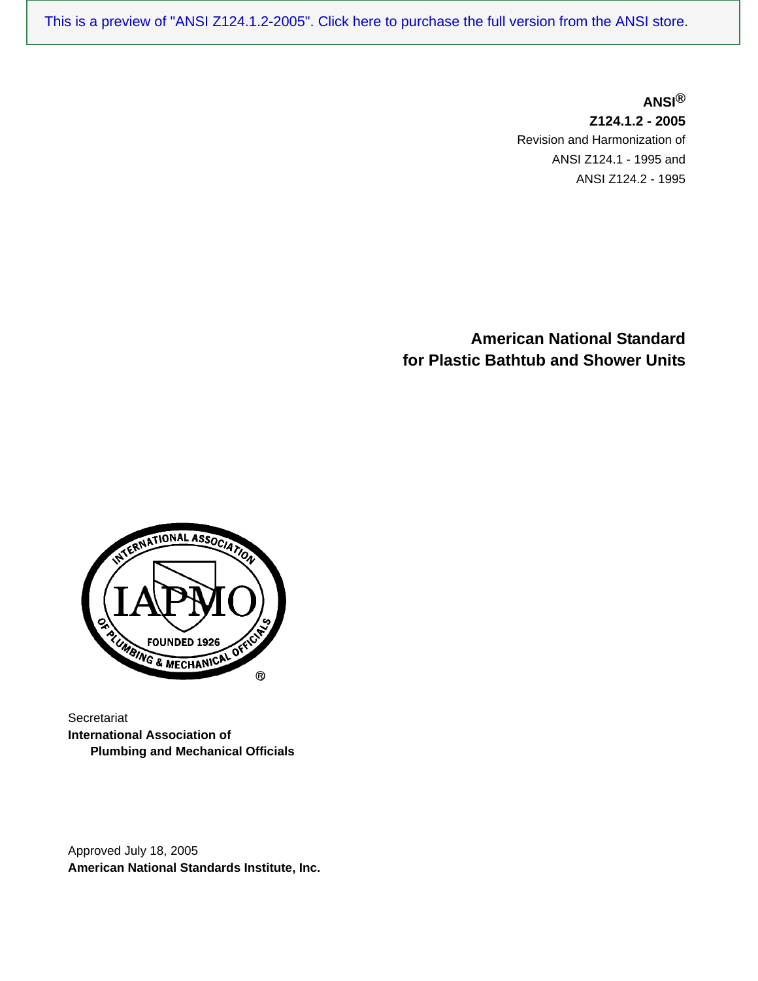[This is a preview of "ANSI Z124.1.2-2005". Click here to purchase the full version from the ANSI store.](https://webstore.ansi.org/Standards/IAPMO/ANSIZ1242005?source=preview)

**ANSI® Z124.1.2 - 2005** Revision and Harmonization of ANSI Z124.1 - 1995 and ANSI Z124.2 - 1995

**American National Standard for Plastic Bathtub and Shower Units**



**Secretariat International Association of Plumbing and Mechanical Officials**

Approved July 18, 2005 **American National Standards Institute, Inc.**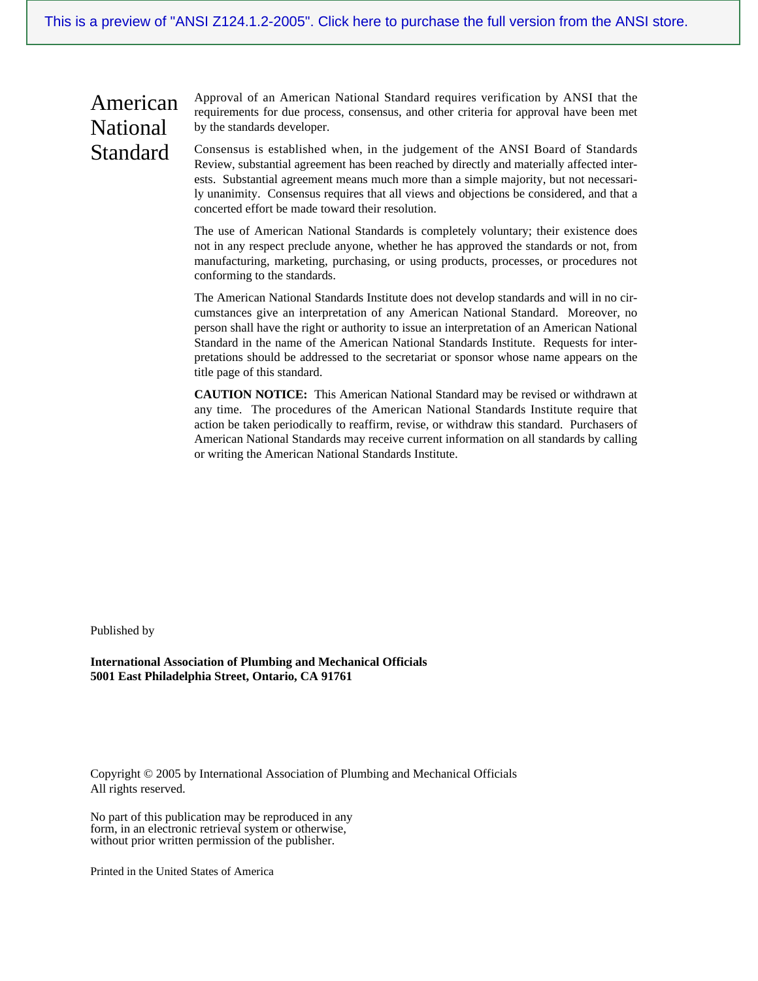# American National Standard

Approval of an American National Standard requires verification by ANSI that the requirements for due process, consensus, and other criteria for approval have been met by the standards developer.

Consensus is established when, in the judgement of the ANSI Board of Standards Review, substantial agreement has been reached by directly and materially affected interests. Substantial agreement means much more than a simple majority, but not necessarily unanimity. Consensus requires that all views and objections be considered, and that a concerted effort be made toward their resolution.

The use of American National Standards is completely voluntary; their existence does not in any respect preclude anyone, whether he has approved the standards or not, from manufacturing, marketing, purchasing, or using products, processes, or procedures not conforming to the standards.

The American National Standards Institute does not develop standards and will in no circumstances give an interpretation of any American National Standard. Moreover, no person shall have the right or authority to issue an interpretation of an American National Standard in the name of the American National Standards Institute. Requests for interpretations should be addressed to the secretariat or sponsor whose name appears on the title page of this standard.

**CAUTION NOTICE:** This American National Standard may be revised or withdrawn at any time. The procedures of the American National Standards Institute require that action be taken periodically to reaffirm, revise, or withdraw this standard. Purchasers of American National Standards may receive current information on all standards by calling or writing the American National Standards Institute.

Published by

**International Association of Plumbing and Mechanical Officials 5001 East Philadelphia Street, Ontario, CA 91761**

Copyright © 2005 by International Association of Plumbing and Mechanical Officials All rights reserved.

No part of this publication may be reproduced in any form, in an electronic retrieval system or otherwise, without prior written permission of the publisher.

Printed in the United States of America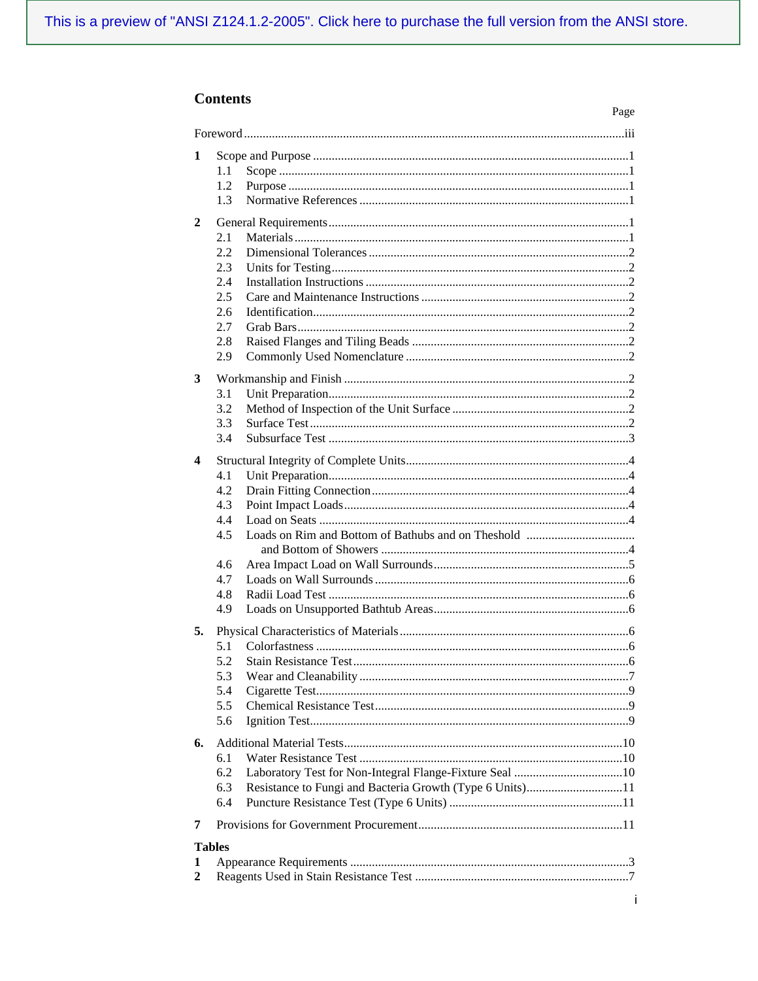# **Contents**

|                |     | Page                                                     |  |  |  |
|----------------|-----|----------------------------------------------------------|--|--|--|
|                |     |                                                          |  |  |  |
| 1              |     |                                                          |  |  |  |
|                | 1.1 |                                                          |  |  |  |
|                | 1.2 |                                                          |  |  |  |
|                | 1.3 |                                                          |  |  |  |
|                |     |                                                          |  |  |  |
| $\overline{2}$ |     |                                                          |  |  |  |
|                | 2.1 |                                                          |  |  |  |
|                | 2.2 |                                                          |  |  |  |
|                | 2.3 |                                                          |  |  |  |
|                | 2.4 |                                                          |  |  |  |
|                | 2.5 |                                                          |  |  |  |
|                | 2.6 |                                                          |  |  |  |
|                | 2.7 |                                                          |  |  |  |
|                | 2.8 |                                                          |  |  |  |
|                | 2.9 |                                                          |  |  |  |
|                |     |                                                          |  |  |  |
| 3              |     |                                                          |  |  |  |
|                | 3.1 |                                                          |  |  |  |
|                | 3.2 |                                                          |  |  |  |
|                | 3.3 |                                                          |  |  |  |
|                | 3.4 |                                                          |  |  |  |
| 4              |     |                                                          |  |  |  |
|                | 4.1 |                                                          |  |  |  |
|                | 4.2 |                                                          |  |  |  |
|                | 4.3 |                                                          |  |  |  |
|                | 4.4 |                                                          |  |  |  |
|                | 4.5 |                                                          |  |  |  |
|                |     |                                                          |  |  |  |
|                | 4.6 |                                                          |  |  |  |
|                | 4.7 |                                                          |  |  |  |
|                | 4.8 |                                                          |  |  |  |
|                | 4.9 |                                                          |  |  |  |
|                |     |                                                          |  |  |  |
| 5.             |     |                                                          |  |  |  |
|                | 5.1 |                                                          |  |  |  |
|                |     |                                                          |  |  |  |
|                | 5.3 |                                                          |  |  |  |
|                | 5.4 |                                                          |  |  |  |
|                | 5.5 |                                                          |  |  |  |
|                | 5.6 |                                                          |  |  |  |
| 6.             |     |                                                          |  |  |  |
|                | 6.1 |                                                          |  |  |  |
|                | 6.2 |                                                          |  |  |  |
|                |     |                                                          |  |  |  |
|                | 6.3 | Resistance to Fungi and Bacteria Growth (Type 6 Units)11 |  |  |  |
|                | 6.4 |                                                          |  |  |  |
| 7              |     |                                                          |  |  |  |
|                |     |                                                          |  |  |  |
| <b>Tables</b>  |     |                                                          |  |  |  |
| 1              |     |                                                          |  |  |  |
| 2              |     |                                                          |  |  |  |
|                | i.  |                                                          |  |  |  |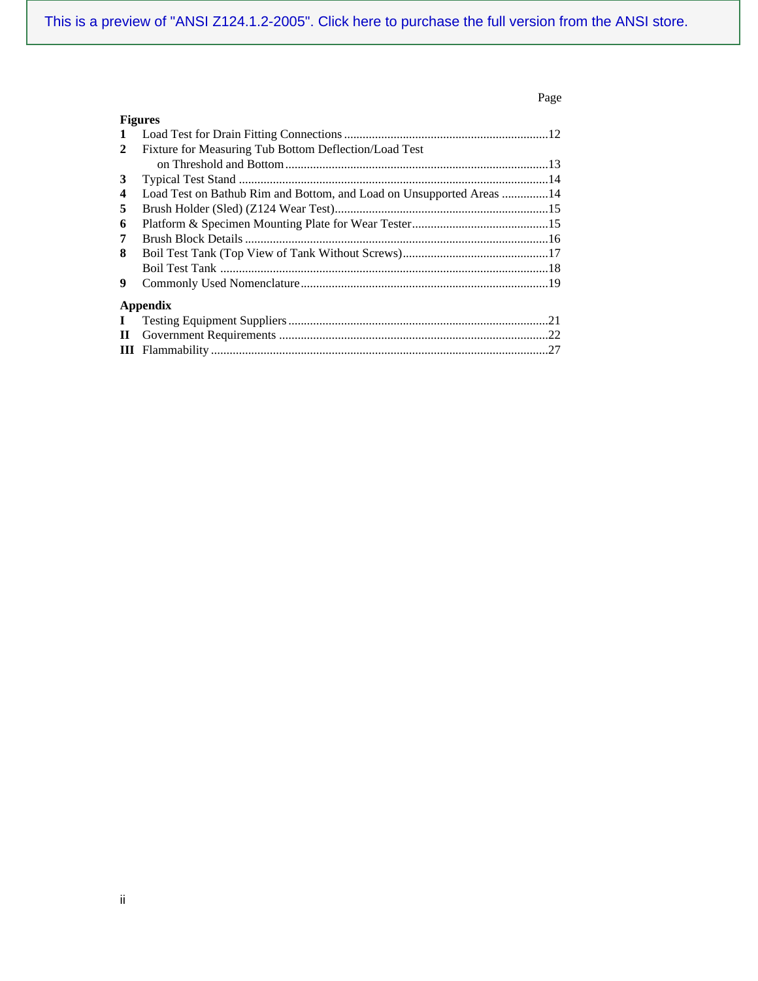## Page

| <b>Figures</b> |                                                                      |  |  |  |  |
|----------------|----------------------------------------------------------------------|--|--|--|--|
| 1              |                                                                      |  |  |  |  |
| 2              | Fixture for Measuring Tub Bottom Deflection/Load Test                |  |  |  |  |
|                |                                                                      |  |  |  |  |
| 3              |                                                                      |  |  |  |  |
| 4              | Load Test on Bathub Rim and Bottom, and Load on Unsupported Areas 14 |  |  |  |  |
| 5              |                                                                      |  |  |  |  |
| 6              |                                                                      |  |  |  |  |
| 7              |                                                                      |  |  |  |  |
| 8              |                                                                      |  |  |  |  |
|                |                                                                      |  |  |  |  |
| 9              |                                                                      |  |  |  |  |
| Appendix       |                                                                      |  |  |  |  |
| $\bf{I}$       |                                                                      |  |  |  |  |
| $\mathbf H$    |                                                                      |  |  |  |  |
|                |                                                                      |  |  |  |  |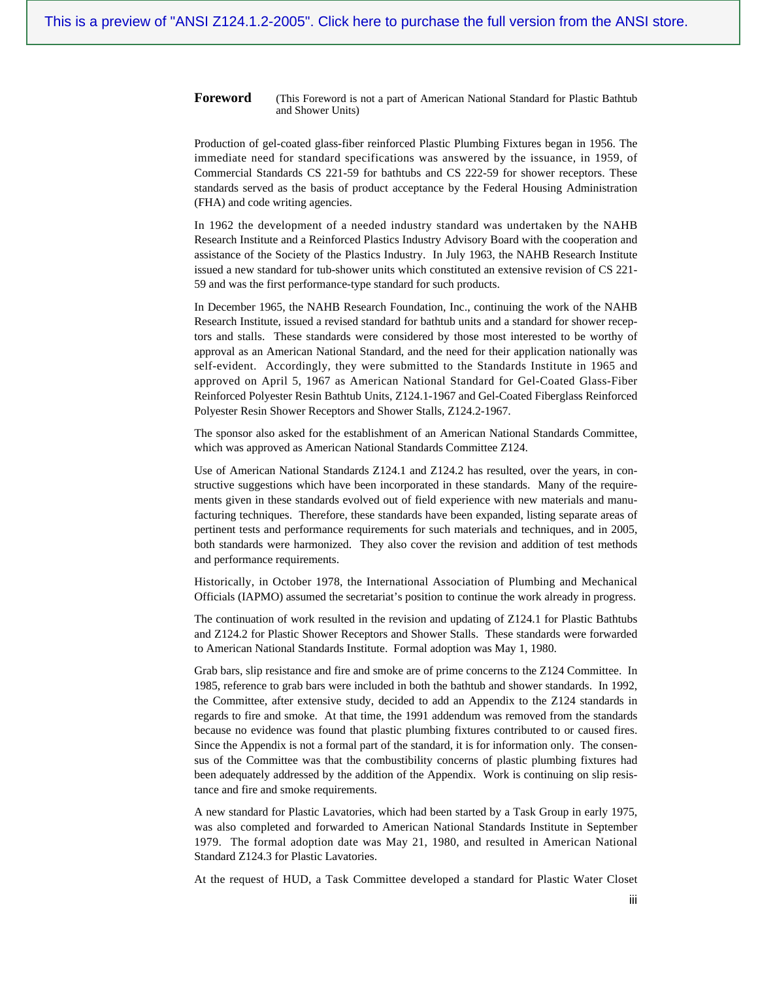**Foreword** (This Foreword is not a part of American National Standard for Plastic Bathtub and Shower Units)

Production of gel-coated glass-fiber reinforced Plastic Plumbing Fixtures began in 1956. The immediate need for standard specifications was answered by the issuance, in 1959, of Commercial Standards CS 221-59 for bathtubs and CS 222-59 for shower receptors. These standards served as the basis of product acceptance by the Federal Housing Administration (FHA) and code writing agencies.

In 1962 the development of a needed industry standard was undertaken by the NAHB Research Institute and a Reinforced Plastics Industry Advisory Board with the cooperation and assistance of the Society of the Plastics Industry. In July 1963, the NAHB Research Institute issued a new standard for tub-shower units which constituted an extensive revision of CS 221- 59 and was the first performance-type standard for such products.

In December 1965, the NAHB Research Foundation, Inc., continuing the work of the NAHB Research Institute, issued a revised standard for bathtub units and a standard for shower receptors and stalls. These standards were considered by those most interested to be worthy of approval as an American National Standard, and the need for their application nationally was self-evident. Accordingly, they were submitted to the Standards Institute in 1965 and approved on April 5, 1967 as American National Standard for Gel-Coated Glass-Fiber Reinforced Polyester Resin Bathtub Units, Z124.1-1967 and Gel-Coated Fiberglass Reinforced Polyester Resin Shower Receptors and Shower Stalls, Z124.2-1967.

The sponsor also asked for the establishment of an American National Standards Committee, which was approved as American National Standards Committee Z124.

Use of American National Standards Z124.1 and Z124.2 has resulted, over the years, in constructive suggestions which have been incorporated in these standards. Many of the requirements given in these standards evolved out of field experience with new materials and manufacturing techniques. Therefore, these standards have been expanded, listing separate areas of pertinent tests and performance requirements for such materials and techniques, and in 2005, both standards were harmonized. They also cover the revision and addition of test methods and performance requirements.

Historically, in October 1978, the International Association of Plumbing and Mechanical Officials (IAPMO) assumed the secretariat's position to continue the work already in progress.

The continuation of work resulted in the revision and updating of Z124.1 for Plastic Bathtubs and Z124.2 for Plastic Shower Receptors and Shower Stalls. These standards were forwarded to American National Standards Institute. Formal adoption was May 1, 1980.

Grab bars, slip resistance and fire and smoke are of prime concerns to the Z124 Committee. In 1985, reference to grab bars were included in both the bathtub and shower standards. In 1992, the Committee, after extensive study, decided to add an Appendix to the Z124 standards in regards to fire and smoke. At that time, the 1991 addendum was removed from the standards because no evidence was found that plastic plumbing fixtures contributed to or caused fires. Since the Appendix is not a formal part of the standard, it is for information only. The consensus of the Committee was that the combustibility concerns of plastic plumbing fixtures had been adequately addressed by the addition of the Appendix. Work is continuing on slip resistance and fire and smoke requirements.

A new standard for Plastic Lavatories, which had been started by a Task Group in early 1975, was also completed and forwarded to American National Standards Institute in September 1979. The formal adoption date was May 21, 1980, and resulted in American National Standard Z124.3 for Plastic Lavatories.

At the request of HUD, a Task Committee developed a standard for Plastic Water Closet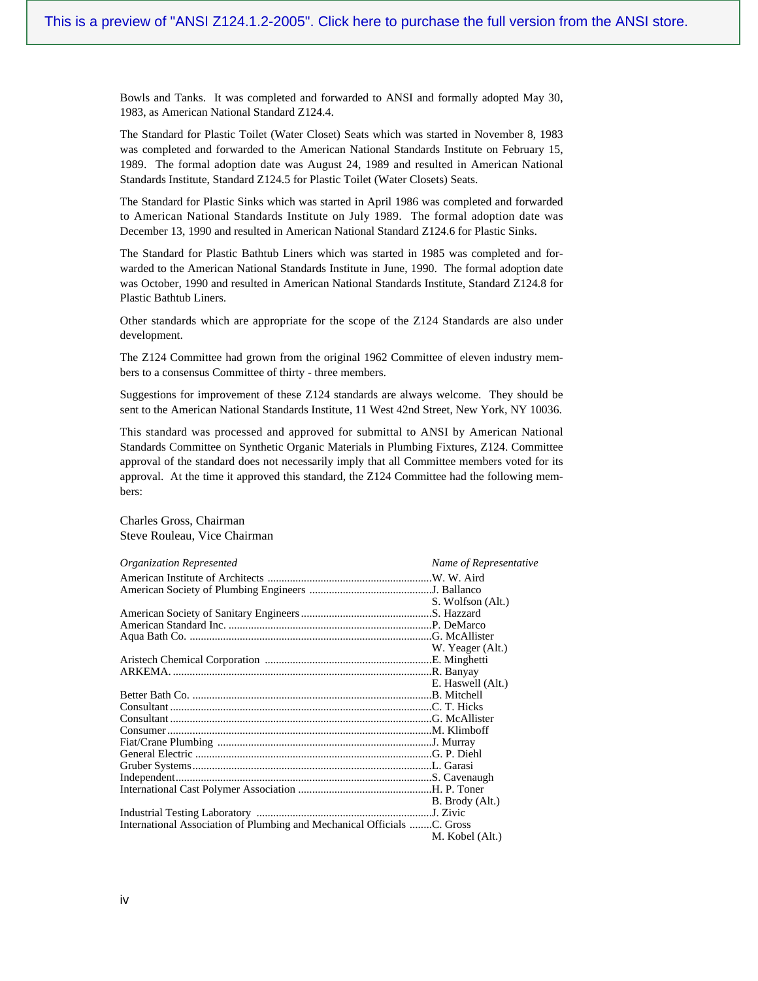Bowls and Tanks. It was completed and forwarded to ANSI and formally adopted May 30, 1983, as American National Standard Z124.4.

The Standard for Plastic Toilet (Water Closet) Seats which was started in November 8, 1983 was completed and forwarded to the American National Standards Institute on February 15, 1989. The formal adoption date was August 24, 1989 and resulted in American National Standards Institute, Standard Z124.5 for Plastic Toilet (Water Closets) Seats.

The Standard for Plastic Sinks which was started in April 1986 was completed and forwarded to American National Standards Institute on July 1989. The formal adoption date was December 13, 1990 and resulted in American National Standard Z124.6 for Plastic Sinks.

The Standard for Plastic Bathtub Liners which was started in 1985 was completed and forwarded to the American National Standards Institute in June, 1990. The formal adoption date was October, 1990 and resulted in American National Standards Institute, Standard Z124.8 for Plastic Bathtub Liners.

Other standards which are appropriate for the scope of the Z124 Standards are also under development.

The Z124 Committee had grown from the original 1962 Committee of eleven industry members to a consensus Committee of thirty - three members.

Suggestions for improvement of these Z124 standards are always welcome. They should be sent to the American National Standards Institute, 11 West 42nd Street, New York, NY 10036.

This standard was processed and approved for submittal to ANSI by American National Standards Committee on Synthetic Organic Materials in Plumbing Fixtures, Z124. Committee approval of the standard does not necessarily imply that all Committee members voted for its approval. At the time it approved this standard, the Z124 Committee had the following members:

| Name of Representative                                                  |  |  |  |  |  |
|-------------------------------------------------------------------------|--|--|--|--|--|
|                                                                         |  |  |  |  |  |
|                                                                         |  |  |  |  |  |
|                                                                         |  |  |  |  |  |
|                                                                         |  |  |  |  |  |
|                                                                         |  |  |  |  |  |
|                                                                         |  |  |  |  |  |
|                                                                         |  |  |  |  |  |
|                                                                         |  |  |  |  |  |
|                                                                         |  |  |  |  |  |
|                                                                         |  |  |  |  |  |
|                                                                         |  |  |  |  |  |
|                                                                         |  |  |  |  |  |
|                                                                         |  |  |  |  |  |
|                                                                         |  |  |  |  |  |
|                                                                         |  |  |  |  |  |
|                                                                         |  |  |  |  |  |
|                                                                         |  |  |  |  |  |
|                                                                         |  |  |  |  |  |
|                                                                         |  |  |  |  |  |
|                                                                         |  |  |  |  |  |
|                                                                         |  |  |  |  |  |
|                                                                         |  |  |  |  |  |
| International Association of Plumbing and Mechanical Officials C. Gross |  |  |  |  |  |
|                                                                         |  |  |  |  |  |
|                                                                         |  |  |  |  |  |

Charles Gross, Chairman Steve Rouleau, Vice Chairman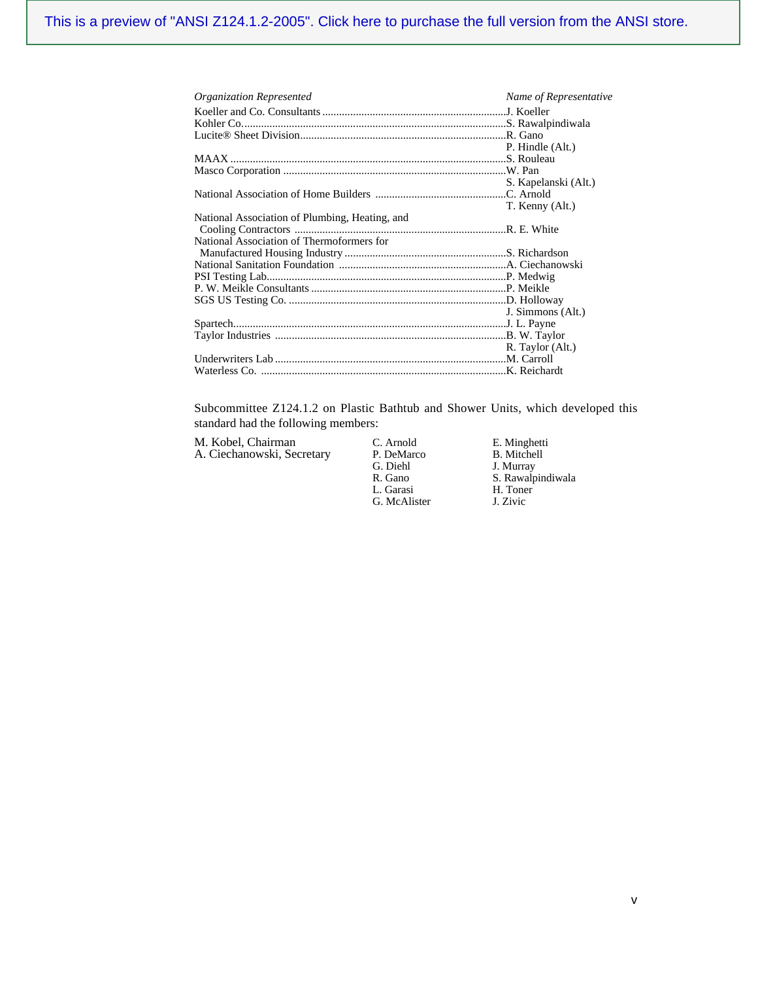| Organization Represented                       | Name of Representative |
|------------------------------------------------|------------------------|
|                                                |                        |
|                                                |                        |
|                                                |                        |
|                                                | P. Hindle (Alt.)       |
|                                                |                        |
|                                                |                        |
|                                                | S. Kapelanski (Alt.)   |
|                                                |                        |
|                                                | T. Kenny (Alt.)        |
| National Association of Plumbing, Heating, and |                        |
|                                                |                        |
| National Association of Thermoformers for      |                        |
|                                                |                        |
|                                                |                        |
|                                                |                        |
|                                                |                        |
|                                                |                        |
|                                                | J. Simmons (Alt.)      |
|                                                |                        |
|                                                |                        |
|                                                | R. Taylor (Alt.)       |
|                                                |                        |
|                                                |                        |

Subcommittee Z124.1.2 on Plastic Bathtub and Shower Units, which developed this standard had the following members:

| M. Kobel, Chairman         | C. Arnold  | E. Minghetti       |
|----------------------------|------------|--------------------|
|                            |            |                    |
| A. Ciechanowski, Secretary | P. DeMarco | <b>B.</b> Mitchell |
|                            | G. Diehl   | J. Murray          |
|                            | R. Gano    | S. Rawalping       |
|                            | L. Garasi  | H. Toner           |
|                            | _ _ _      |                    |

- Diehl J. Murray<br>Gano S. Rawalp G. McAlister
- B. Mitchell Gano S. Rawalpindiwala<br>Garasi H. Toner H. Toner<br>J. Zivic